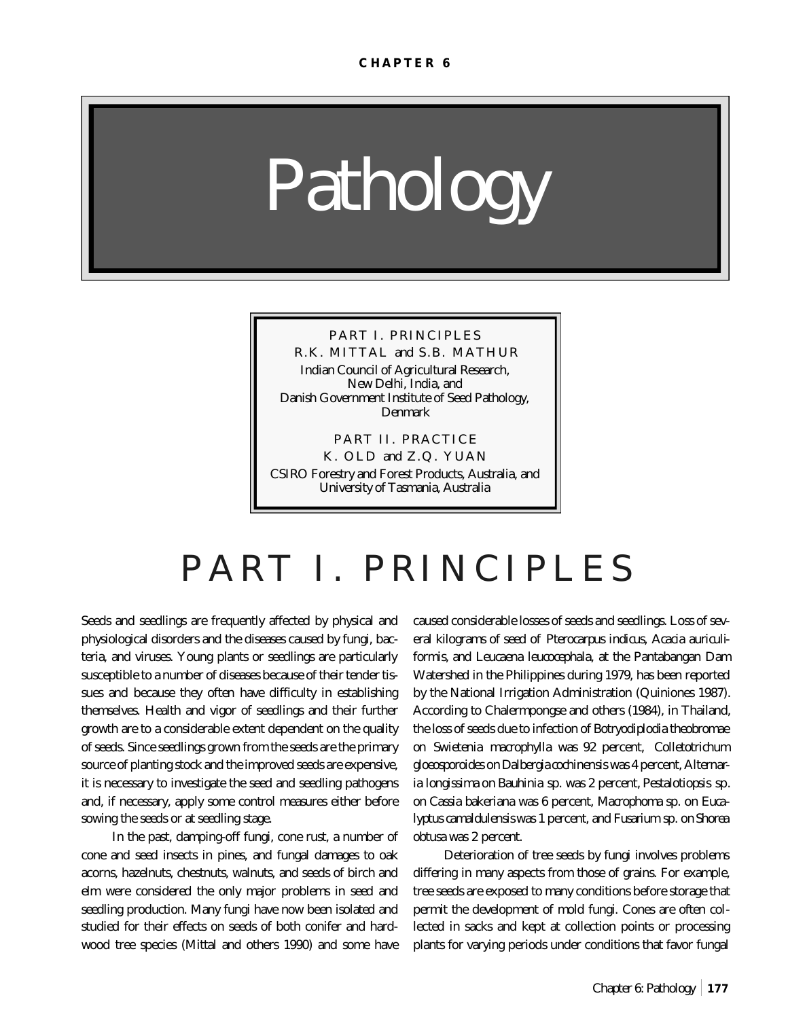*Pathology*

## PART I. PRINCIPLES R.K. MITTAL and S.B. MATHUR Indian Council of Agricultural Research, New Delhi, India, and Danish Government Institute of Seed Pathology, Denmark

PART II. PRACTICE K. OLD and Z.Q. YUAN CSIRO Forestry and Forest Products, Australia, and University of Tasmania, Australia

# PART I. PRINCIPLES

Seeds and seedlings are frequently affected by physical and physiological disorders and the diseases caused by fungi, bacteria, and viruses. Young plants or seedlings are particularly susceptible to a number of diseases because of their tender tissues and because they often have difficulty in establishing themselves. Health and vigor of seedlings and their further growth are to a considerable extent dependent on the quality of seeds. Since seedlings grown from the seeds are the primary source of planting stock and the improved seeds are expensive, it is necessary to investigate the seed and seedling pathogens and, if necessary, apply some control measures either before sowing the seeds or at seedling stage.

In the past, damping-off fungi, cone rust, a number of cone and seed insects in pines, and fungal damages to oak acorns, hazelnuts, chestnuts, walnuts, and seeds of birch and elm were considered the only major problems in seed and seedling production. Many fungi have now been isolated and studied for their effects on seeds of both conifer and hardwood tree species (Mittal and others 1990) and some have

caused considerable losses of seeds and seedlings. Loss of several kilograms of seed of *Pterocarpus indicus, Acacia auriculiformis,* and *Leucaena leucocephala*, at the Pantabangan Dam Watershed in the Philippines during 1979, has been reported by the National Irrigation Administration (Quiniones 1987). According to Chalermpongse and others (1984), in Thailand, the loss of seeds due to infection of *Botryodiplodia theobromae* on *Swietenia macrophylla* was 92 percent, *Colletotrichum gloeosporoides* on *Dalbergia cochinensis* was 4 percent, *Alternaria longissima* on *Bauhinia* sp. was 2 percent, *Pestalotiopsis* sp. on *Cassia bakeriana* was 6 percent, *Macrophoma* sp. on *Eucalyptus camaldulensis* was 1 percent, and *Fusarium* sp. on *Shorea obtusa* was 2 percent.

Deterioration of tree seeds by fungi involves problems differing in many aspects from those of grains. For example, tree seeds are exposed to many conditions before storage that permit the development of mold fungi. Cones are often collected in sacks and kept at collection points or processing plants for varying periods under conditions that favor fungal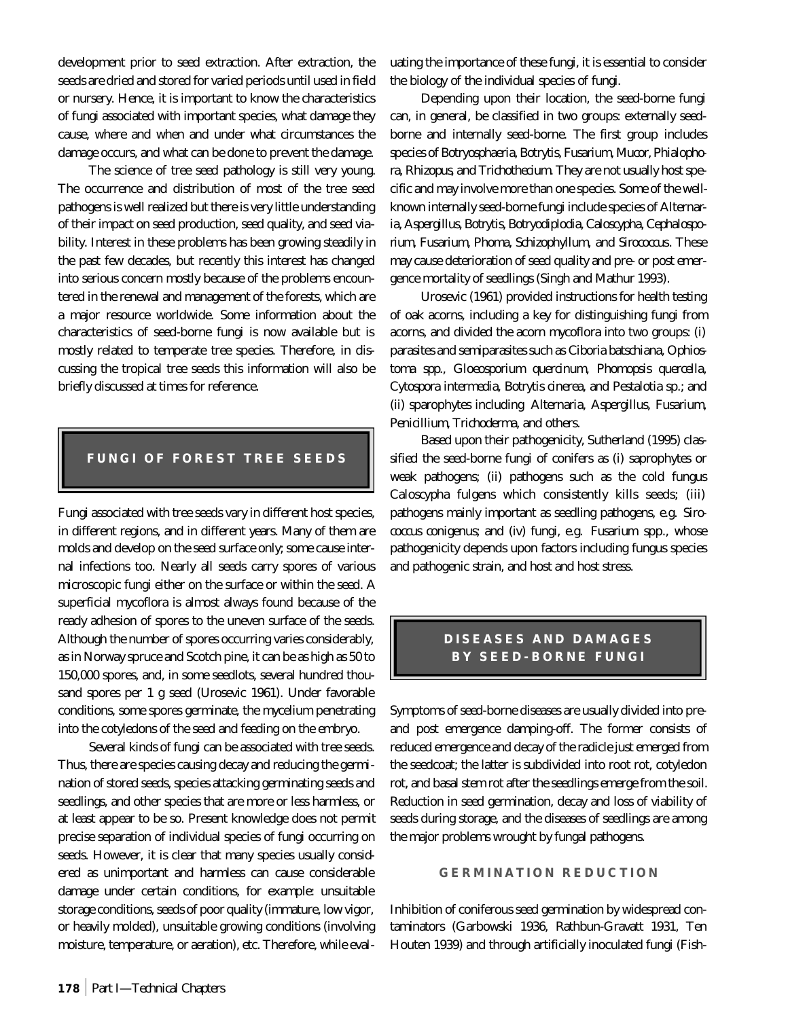development prior to seed extraction. After extraction, the seeds are dried and stored for varied periods until used in field or nursery. Hence, it is important to know the characteristics of fungi associated with important species, what damage they cause, where and when and under what circumstances the damage occurs, and what can be done to prevent the damage.

The science of tree seed pathology is still very young. The occurrence and distribution of most of the tree seed pathogens is well realized but there is very little understanding of their impact on seed production, seed quality, and seed viability. Interest in these problems has been growing steadily in the past few decades, but recently this interest has changed into serious concern mostly because of the problems encountered in the renewal and management of the forests, which are a major resource worldwide. Some information about the characteristics of seed-borne fungi is now available but is mostly related to temperate tree species. Therefore, in discussing the tropical tree seeds this information will also be briefly discussed at times for reference.

## **FUNGI OF FOREST TREE SEEDS**

Fungi associated with tree seeds vary in different host species, in different regions, and in different years. Many of them are molds and develop on the seed surface only; some cause internal infections too. Nearly all seeds carry spores of various microscopic fungi either on the surface or within the seed. A superficial mycoflora is almost always found because of the ready adhesion of spores to the uneven surface of the seeds. Although the number of spores occurring varies considerably, as in Norway spruce and Scotch pine, it can be as high as 50 to 150,000 spores, and, in some seedlots, several hundred thousand spores per 1 g seed (Urosevic 1961). Under favorable conditions, some spores germinate, the mycelium penetrating into the cotyledons of the seed and feeding on the embryo.

Several kinds of fungi can be associated with tree seeds. Thus, there are species causing decay and reducing the germination of stored seeds, species attacking germinating seeds and seedlings, and other species that are more or less harmless, or at least appear to be so. Present knowledge does not permit precise separation of individual species of fungi occurring on seeds. However, it is clear that many species usually considered as unimportant and harmless can cause considerable damage under certain conditions, for example: unsuitable storage conditions, seeds of poor quality (immature, low vigor, or heavily molded), unsuitable growing conditions (involving moisture, temperature, or aeration), etc. Therefore, while evaluating the importance of these fungi, it is essential to consider the biology of the individual species of fungi.

Depending upon their location, the seed-borne fungi can, in general, be classified in two groups: externally seedborne and internally seed-borne. The first group includes species of *Botryosphaeria, Botrytis, Fusarium, Mucor, Phialophora, Rhizopus*, and *Trichothecium.* They are not usually host specific and may involve more than one species. Some of the wellknown internally seed-borne fungi include species of *Alternaria, Aspergillus, Botrytis, Botryodiplodia, Caloscypha, Cephalosporium, Fusarium, Phoma, Schizophyllum,* and *Sirococcus*. These may cause deterioration of seed quality and pre- or post emergence mortality of seedlings (Singh and Mathur 1993).

Urosevic (1961) provided instructions for health testing of oak acorns, including a key for distinguishing fungi from acorns, and divided the acorn mycoflora into two groups: (i) parasites and semiparasites such as *Ciboria batschiana, Ophiostoma spp., Gloeosporium quercinum, Phomopsis quercella, Cytospora intermedia, Botrytis cinerea,* and *Pestalotia* sp.; and (ii) sparophytes including *Alternaria, Aspergillus, Fusarium, Penicillium, Trichoderma*, and others.

Based upon their pathogenicity, Sutherland (1995) classified the seed-borne fungi of conifers as (i) saprophytes or weak pathogens; (ii) pathogens such as the cold fungus *Caloscypha fulgens* which consistently kills seeds; (iii) pathogens mainly important as seedling pathogens, e.g. *Sirococcus conigenus;* and (iv) fungi, e.g. *Fusarium* spp., whose pathogenicity depends upon factors including fungus species and pathogenic strain, and host and host stress.

## **DISEASES AND DAMAGES BY SEED-BORNE FUNGI**

Symptoms of seed-borne diseases are usually divided into preand post emergence damping-off. The former consists of reduced emergence and decay of the radicle just emerged from the seedcoat; the latter is subdivided into root rot, cotyledon rot, and basal stem rot after the seedlings emerge from the soil. Reduction in seed germination, decay and loss of viability of seeds during storage, and the diseases of seedlings are among the major problems wrought by fungal pathogens.

#### **GERMINATION REDUCTION**

Inhibition of coniferous seed germination by widespread contaminators (Garbowski 1936, Rathbun-Gravatt 1931, Ten Houten 1939) and through artificially inoculated fungi (Fish-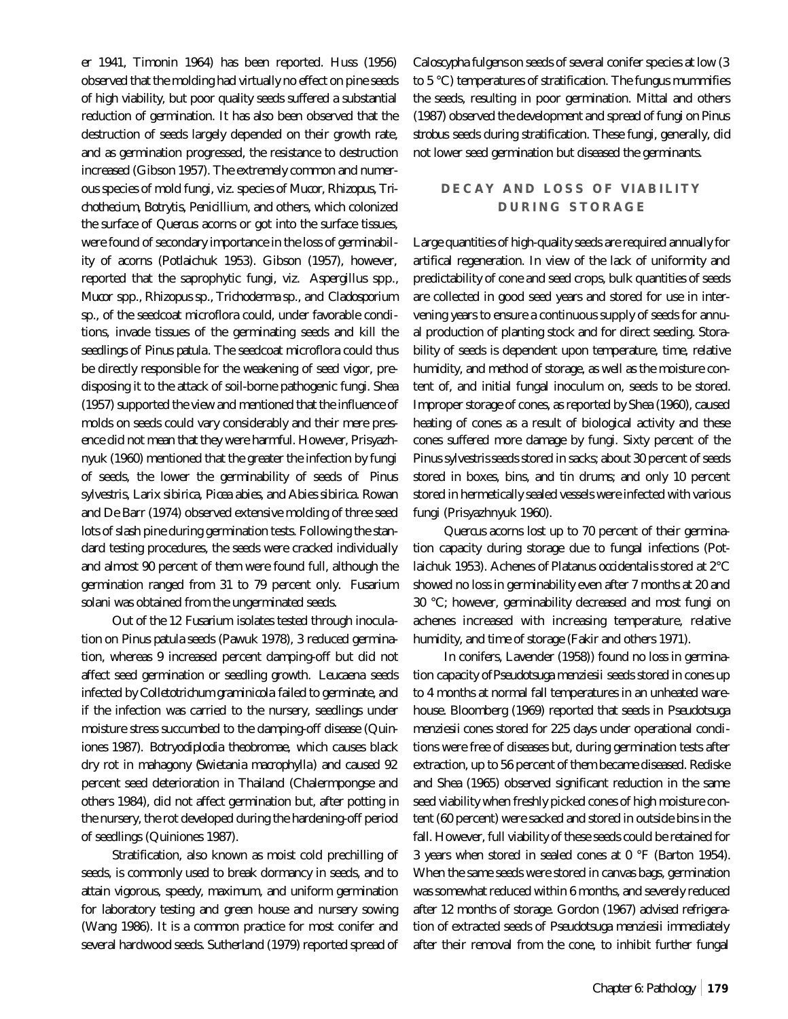er 1941, Timonin 1964) has been reported. Huss (1956) observed that the molding had virtually no effect on pine seeds of high viability, but poor quality seeds suffered a substantial reduction of germination. It has also been observed that the destruction of seeds largely depended on their growth rate, and as germination progressed, the resistance to destruction increased (Gibson 1957). The extremely common and numerous species of mold fungi, viz. species of *Mucor, Rhizopus, Trichothecium, Botrytis, Penicillium*, and others, which colonized the surface of *Quercus* acorns or got into the surface tissues, were found of secondary importance in the loss of germinability of acorns (Potlaichuk 1953). Gibson (1957), however, reported that the saprophytic fungi, viz. *Aspergillus* spp., *Mucor* spp., *Rhizopus* sp., *Trichoderma* sp., and *Cladosporium* sp., of the seedcoat microflora could, under favorable conditions, invade tissues of the germinating seeds and kill the seedlings of *Pinus patula*. The seedcoat microflora could thus be directly responsible for the weakening of seed vigor, predisposing it to the attack of soil-borne pathogenic fungi. Shea (1957) supported the view and mentioned that the influence of molds on seeds could vary considerably and their mere presence did not mean that they were harmful. However, Prisyazhnyuk (1960) mentioned that the greater the infection by fungi of seeds, the lower the germinability of seeds of *Pinus sylvestris, Larix sibirica, Picea abies,* and *Abies sibirica*. Rowan and De Barr (1974) observed extensive molding of three seed lots of slash pine during germination tests. Following the standard testing procedures, the seeds were cracked individually and almost 90 percent of them were found full, although the germination ranged from 31 to 79 percent only. *Fusarium solani* was obtained from the ungerminated seeds.

Out of the 12 *Fusarium* isolates tested through inoculation on *Pinus patula* seeds (Pawuk 1978), 3 reduced germination, whereas 9 increased percent damping-off but did not affect seed germination or seedling growth. *Leucaena* seeds infected by *Colletotrichum graminicola* failed to germinate, and if the infection was carried to the nursery, seedlings under moisture stress succumbed to the damping-off disease (Quiniones 1987). *Botryodiplodia theobromae,* which causes black dry rot in mahagony (*Swietania macrophylla*) and caused 92 percent seed deterioration in Thailand (Chalermpongse and others 1984), did not affect germination but, after potting in the nursery, the rot developed during the hardening-off period of seedlings (Quiniones 1987).

Stratification, also known as moist cold prechilling of seeds, is commonly used to break dormancy in seeds, and to attain vigorous, speedy, maximum, and uniform germination for laboratory testing and green house and nursery sowing (Wang 1986). It is a common practice for most conifer and several hardwood seeds. Sutherland (1979) reported spread of

*Caloscypha fulgens* on seeds of several conifer species at low (3 to 5 °C) temperatures of stratification. The fungus mummifies the seeds, resulting in poor germination. Mittal and others (1987) observed the development and spread of fungi on *Pinus strobus* seeds during stratification. These fungi, generally, did not lower seed germination but diseased the germinants.

## **DECAY AND LOSS OF VIABILITY DURING STORAGE**

Large quantities of high-quality seeds are required annually for artifical regeneration. In view of the lack of uniformity and predictability of cone and seed crops, bulk quantities of seeds are collected in good seed years and stored for use in intervening years to ensure a continuous supply of seeds for annual production of planting stock and for direct seeding. Storability of seeds is dependent upon temperature, time, relative humidity, and method of storage, as well as the moisture content of, and initial fungal inoculum on, seeds to be stored. Improper storage of cones, as reported by Shea (1960), caused heating of cones as a result of biological activity and these cones suffered more damage by fungi. Sixty percent of the *Pinus sylvestris*seeds stored in sacks; about 30 percent of seeds stored in boxes, bins, and tin drums; and only 10 percent stored in hermetically sealed vessels were infected with various fungi (Prisyazhnyuk 1960).

*Quercus* acorns lost up to 70 percent of their germination capacity during storage due to fungal infections (Potlaichuk 1953). Achenes of *Platanus occidentalis* stored at 2°C showed no loss in germinability even after 7 months at 20 and 30 °C; however, germinability decreased and most fungi on achenes increased with increasing temperature, relative humidity, and time of storage (Fakir and others 1971).

In conifers, Lavender (1958)) found no loss in germination capacity of *Pseudotsuga menziesii* seeds stored in cones up to 4 months at normal fall temperatures in an unheated warehouse. Bloomberg (1969) reported that seeds in *Pseudotsuga menziesii* cones stored for 225 days under operational conditions were free of diseases but, during germination tests after extraction, up to 56 percent of them became diseased. Rediske and Shea (1965) observed significant reduction in the same seed viability when freshly picked cones of high moisture content (60 percent) were sacked and stored in outside bins in the fall. However, full viability of these seeds could be retained for 3 years when stored in sealed cones at 0 °F (Barton 1954). When the same seeds were stored in canvas bags, germination was somewhat reduced within 6 months, and severely reduced after 12 months of storage. Gordon (1967) advised refrigeration of extracted seeds of *Pseudotsuga menziesii* immediately after their removal from the cone, to inhibit further fungal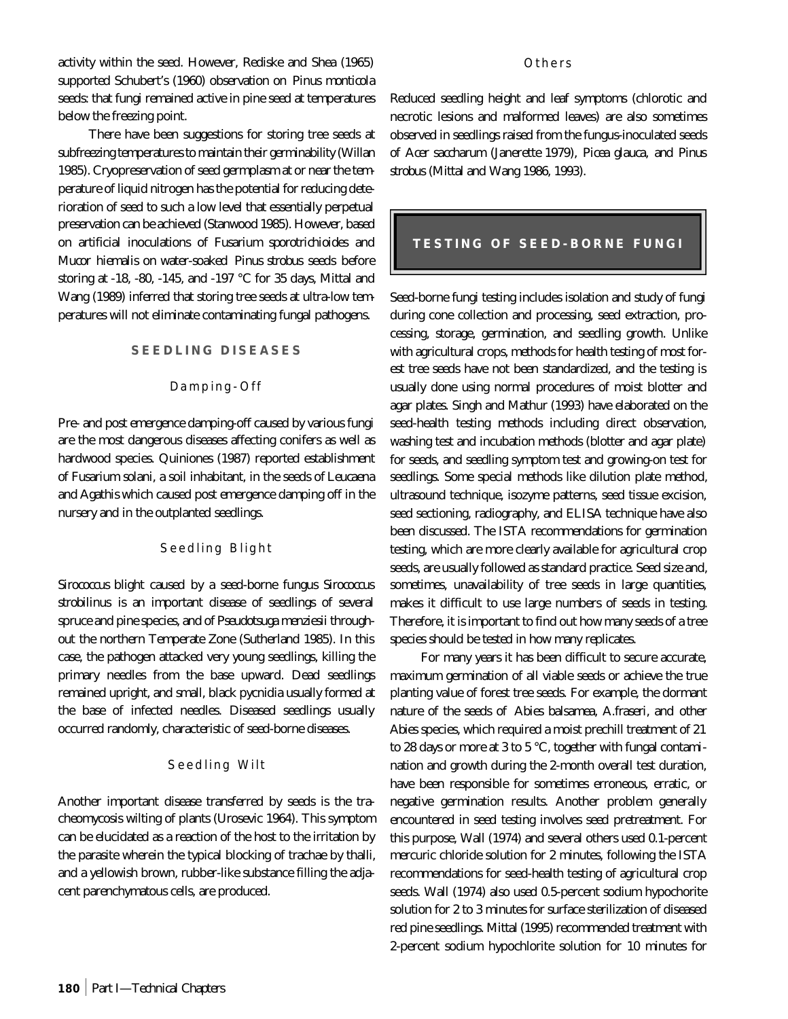activity within the seed. However, Rediske and Shea (1965) supported Schubert's (1960) observation on *Pinus monticola* seeds: that fungi remained active in pine seed at temperatures below the freezing point.

There have been suggestions for storing tree seeds at subfreezing temperatures to maintain their germinability (Willan 1985). Cryopreservation of seed germplasm at or near the temperature of liquid nitrogen has the potential for reducing deterioration of seed to such a low level that essentially perpetual preservation can be achieved (Stanwood 1985). However, based on artificial inoculations of *Fusarium sporotrichioides* and *Mucor hiemalis* on water-soaked *Pinus strobus* seeds before storing at -18, -80, -145, and -197 °C for 35 days, Mittal and Wang (1989) inferred that storing tree seeds at ultra-low temperatures will not eliminate contaminating fungal pathogens.

#### **SEEDLING DISEASES**

#### Damping-Off

Pre- and post emergence damping-off caused by various fungi are the most dangerous diseases affecting conifers as well as hardwood species. Quiniones (1987) reported establishment of *Fusarium solani*, a soil inhabitant, in the seeds of *Leucaena* and *Agathis* which caused post emergence damping off in the nursery and in the outplanted seedlings.

## Seedling Blight

*Sirococcus* blight caused by a seed-borne fungus *Sirococcus strobilinus* is an important disease of seedlings of several spruce and pine species, and of *Pseudotsuga menziesii* throughout the northern Temperate Zone (Sutherland 1985). In this case, the pathogen attacked very young seedlings, killing the primary needles from the base upward. Dead seedlings remained upright, and small, black pycnidia usually formed at the base of infected needles. Diseased seedlings usually occurred randomly, characteristic of seed-borne diseases.

#### Seedling Wilt

Another important disease transferred by seeds is the tracheomycosis wilting of plants (Urosevic 1964). This symptom can be elucidated as a reaction of the host to the irritation by the parasite wherein the typical blocking of trachae by thalli, and a yellowish brown, rubber-like substance filling the adjacent parenchymatous cells, are produced.

#### Others

Reduced seedling height and leaf symptoms (chlorotic and necrotic lesions and malformed leaves) are also sometimes observed in seedlings raised from the fungus-inoculated seeds of *Acer saccharum* (Janerette 1979), *Picea glauca,* and *Pinus strobus* (Mittal and Wang 1986, 1993).

## **TESTING OF SEED-BORNE FUNGI**

Seed-borne fungi testing includes isolation and study of fungi during cone collection and processing, seed extraction, processing, storage, germination, and seedling growth. Unlike with agricultural crops, methods for health testing of most forest tree seeds have not been standardized, and the testing is usually done using normal procedures of moist blotter and agar plates. Singh and Mathur (1993) have elaborated on the seed-health testing methods including direct observation, washing test and incubation methods (blotter and agar plate) for seeds, and seedling symptom test and growing-on test for seedlings. Some special methods like dilution plate method, ultrasound technique, isozyme patterns, seed tissue excision, seed sectioning, radiography, and ELISA technique have also been discussed. The ISTA recommendations for germination testing, which are more clearly available for agricultural crop seeds, are usually followed as standard practice. Seed size and, sometimes, unavailability of tree seeds in large quantities, makes it difficult to use large numbers of seeds in testing. Therefore, it is important to find out how many seeds of a tree species should be tested in how many replicates.

For many years it has been difficult to secure accurate, maximum germination of all viable seeds or achieve the true planting value of forest tree seeds. For example, the dormant nature of the seeds of *Abies balsamea, A.fraseri,* and other *Abies* species, which required a moist prechill treatment of 21 to 28 days or more at 3 to 5 °C, together with fungal contamination and growth during the 2-month overall test duration, have been responsible for sometimes erroneous, erratic, or negative germination results. Another problem generally encountered in seed testing involves seed pretreatment. For this purpose, Wall (1974) and several others used 0.1-percent mercuric chloride solution for 2 minutes, following the ISTA recommendations for seed-health testing of agricultural crop seeds. Wall (1974) also used 0.5-percent sodium hypochorite solution for 2 to 3 minutes for surface sterilization of diseased red pine seedlings. Mittal (1995) recommended treatment with 2-percent sodium hypochlorite solution for 10 minutes for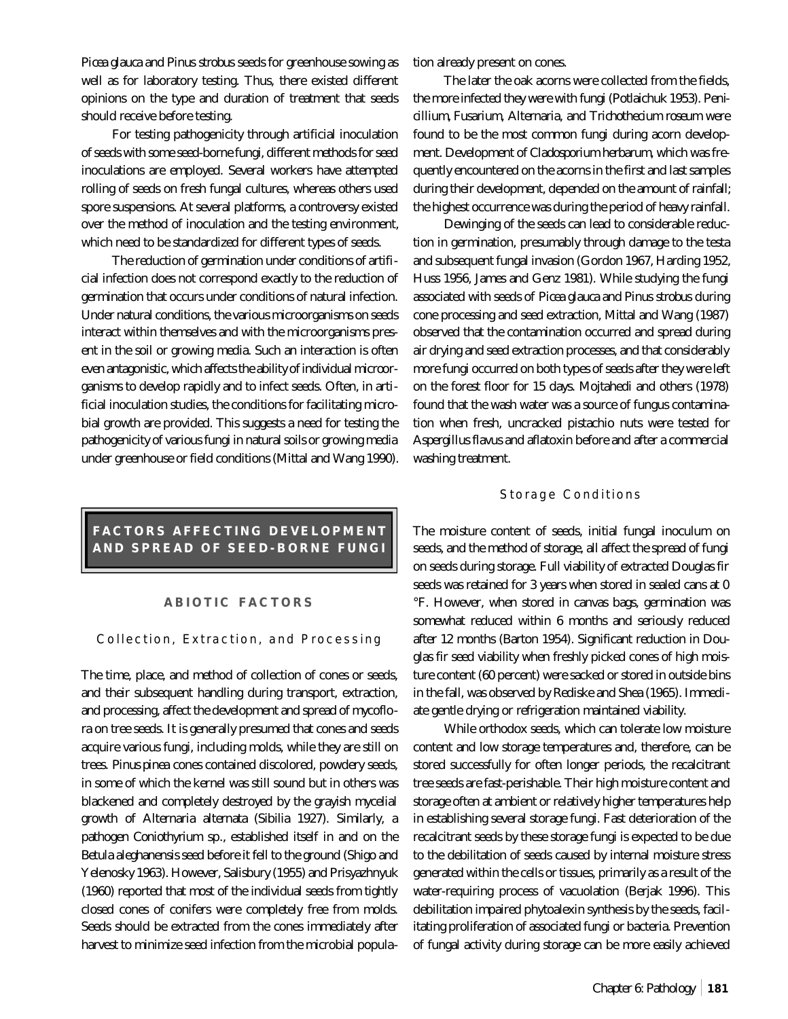*Picea glauca* and *Pinus strobus* seeds for greenhouse sowing as well as for laboratory testing. Thus, there existed different opinions on the type and duration of treatment that seeds should receive before testing.

For testing pathogenicity through artificial inoculation of seeds with some seed-borne fungi, different methods for seed inoculations are employed. Several workers have attempted rolling of seeds on fresh fungal cultures, whereas others used spore suspensions. At several platforms, a controversy existed over the method of inoculation and the testing environment, which need to be standardized for different types of seeds.

The reduction of germination under conditions of artificial infection does not correspond exactly to the reduction of germination that occurs under conditions of natural infection. Under natural conditions, the various microorganisms on seeds interact within themselves and with the microorganisms present in the soil or growing media. Such an interaction is often even antagonistic, which affects the ability of individual microorganisms to develop rapidly and to infect seeds. Often, in artificial inoculation studies, the conditions for facilitating microbial growth are provided. This suggests a need for testing the pathogenicity of various fungi in natural soils or growing media under greenhouse or field conditions (Mittal and Wang 1990).

# **FACTORS AFFECTING DEVELOPMENT AND SPREAD OF SEED-BORNE FUNGI**

#### **ABIOTIC FACTORS**

#### Collection, Extraction, and Processing

The time, place, and method of collection of cones or seeds, and their subsequent handling during transport, extraction, and processing, affect the development and spread of mycoflora on tree seeds. It is generally presumed that cones and seeds acquire various fungi, including molds, while they are still on trees. *Pinus pinea* cones contained discolored, powdery seeds, in some of which the kernel was still sound but in others was blackened and completely destroyed by the grayish mycelial growth of *Alternaria alternata* (Sibilia 1927). Similarly, a pathogen *Coniothyrium* sp., established itself in and on the *Betula aleghanensis* seed before it fell to the ground (Shigo and Yelenosky 1963). However, Salisbury (1955) and Prisyazhnyuk (1960) reported that most of the individual seeds from tightly closed cones of conifers were completely free from molds. Seeds should be extracted from the cones immediately after harvest to minimize seed infection from the microbial population already present on cones.

The later the oak acorns were collected from the fields, the more infected they were with fungi (Potlaichuk 1953). *Penicillium, Fusarium, Alternaria,* and *Trichothecium roseum* were found to be the most common fungi during acorn development. Development of *Cladosporium herbarum*, which was frequently encountered on the acorns in the first and last samples during their development, depended on the amount of rainfall; the highest occurrence was during the period of heavy rainfall.

Dewinging of the seeds can lead to considerable reduction in germination, presumably through damage to the testa and subsequent fungal invasion (Gordon 1967, Harding 1952, Huss 1956, James and Genz 1981). While studying the fungi associated with seeds of *Picea glauca* and *Pinus strobus* during cone processing and seed extraction, Mittal and Wang (1987) observed that the contamination occurred and spread during air drying and seed extraction processes, and that considerably more fungi occurred on both types of seeds after they were left on the forest floor for 15 days. Mojtahedi and others (1978) found that the wash water was a source of fungus contamination when fresh, uncracked pistachio nuts were tested for *Aspergillus flavus* and aflatoxin before and after a commercial washing treatment.

#### Storage Conditions

The moisture content of seeds, initial fungal inoculum on seeds, and the method of storage, all affect the spread of fungi on seeds during storage. Full viability of extracted Douglas fir seeds was retained for 3 years when stored in sealed cans at 0 °F. However, when stored in canvas bags, germination was somewhat reduced within 6 months and seriously reduced after 12 months (Barton 1954). Significant reduction in Douglas fir seed viability when freshly picked cones of high moisture content (60 percent) were sacked or stored in outside bins in the fall, was observed by Rediske and Shea (1965). Immediate gentle drying or refrigeration maintained viability.

While orthodox seeds, which can tolerate low moisture content and low storage temperatures and, therefore, can be stored successfully for often longer periods, the recalcitrant tree seeds are fast-perishable. Their high moisture content and storage often at ambient or relatively higher temperatures help in establishing several storage fungi. Fast deterioration of the recalcitrant seeds by these storage fungi is expected to be due to the debilitation of seeds caused by internal moisture stress generated within the cells or tissues, primarily as a result of the water-requiring process of vacuolation (Berjak 1996). This debilitation impaired phytoalexin synthesis by the seeds, facilitating proliferation of associated fungi or bacteria. Prevention of fungal activity during storage can be more easily achieved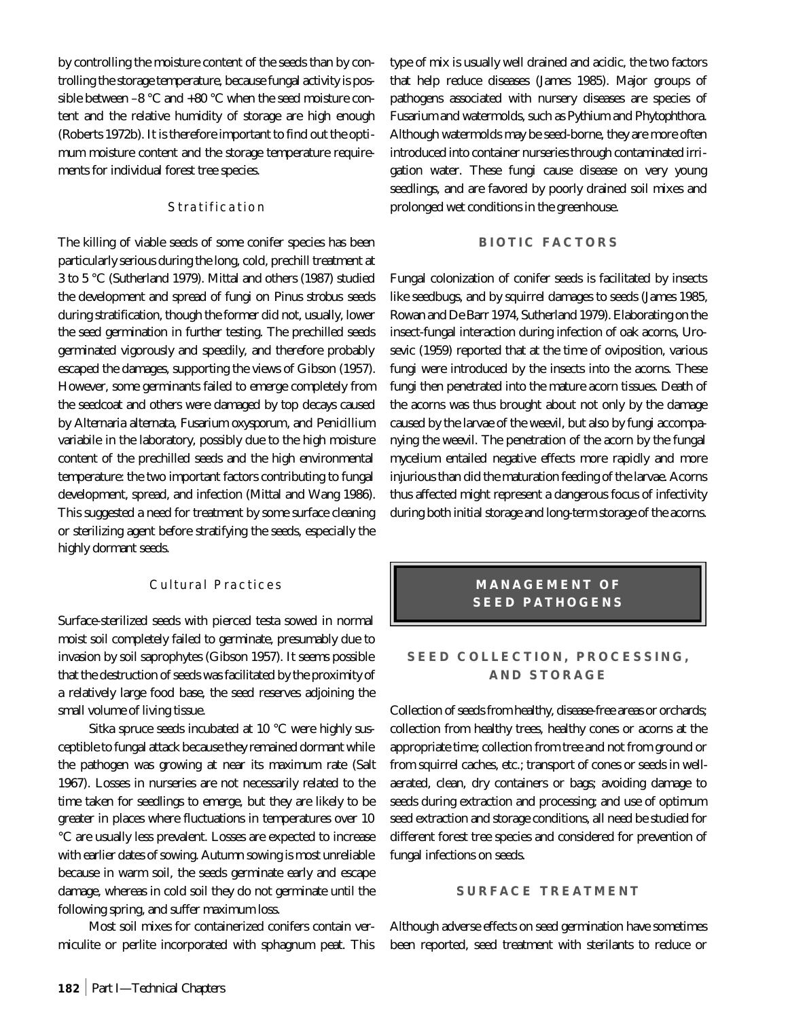by controlling the moisture content of the seeds than by controlling the storage temperature, because fungal activity is possible between  $-8$  °C and  $+80$  °C when the seed moisture content and the relative humidity of storage are high enough (Roberts 1972b). It is therefore important to find out the optimum moisture content and the storage temperature requirements for individual forest tree species.

## Stratification

The killing of viable seeds of some conifer species has been particularly serious during the long, cold, prechill treatment at 3 to 5 °C (Sutherland 1979). Mittal and others (1987) studied the development and spread of fungi on *Pinus strobus* seeds during stratification, though the former did not, usually, lower the seed germination in further testing. The prechilled seeds germinated vigorously and speedily, and therefore probably escaped the damages, supporting the views of Gibson (1957). However, some germinants failed to emerge completely from the seedcoat and others were damaged by top decays caused by *Alternaria alternata, Fusarium oxysporum*, and *Penicillium variabile* in the laboratory, possibly due to the high moisture content of the prechilled seeds and the high environmental temperature: the two important factors contributing to fungal development, spread, and infection (Mittal and Wang 1986). This suggested a need for treatment by some surface cleaning or sterilizing agent before stratifying the seeds, especially the highly dormant seeds.

## Cultural Practices

Surface-sterilized seeds with pierced testa sowed in normal moist soil completely failed to germinate, presumably due to invasion by soil saprophytes (Gibson 1957). It seems possible that the destruction of seeds was facilitated by the proximity of a relatively large food base, the seed reserves adjoining the small volume of living tissue.

Sitka spruce seeds incubated at 10 °C were highly susceptible to fungal attack because they remained dormant while the pathogen was growing at near its maximum rate (Salt 1967). Losses in nurseries are not necessarily related to the time taken for seedlings to emerge, but they are likely to be greater in places where fluctuations in temperatures over 10 °C are usually less prevalent. Losses are expected to increase with earlier dates of sowing. Autumn sowing is most unreliable because in warm soil, the seeds germinate early and escape damage, whereas in cold soil they do not germinate until the following spring, and suffer maximum loss.

Most soil mixes for containerized conifers contain vermiculite or perlite incorporated with sphagnum peat. This

type of mix is usually well drained and acidic, the two factors that help reduce diseases (James 1985). Major groups of pathogens associated with nursery diseases are species of *Fusarium* and watermolds, such as *Pythium* and *Phytophthora*. Although watermolds may be seed-borne, they are more often introduced into container nurseries through contaminated irrigation water. These fungi cause disease on very young seedlings, and are favored by poorly drained soil mixes and prolonged wet conditions in the greenhouse.

#### **BIOTIC FACTORS**

Fungal colonization of conifer seeds is facilitated by insects like seedbugs, and by squirrel damages to seeds (James 1985, Rowan and De Barr 1974, Sutherland 1979). Elaborating on the insect-fungal interaction during infection of oak acorns, Urosevic (1959) reported that at the time of oviposition, various fungi were introduced by the insects into the acorns. These fungi then penetrated into the mature acorn tissues. Death of the acorns was thus brought about not only by the damage caused by the larvae of the weevil, but also by fungi accompanying the weevil. The penetration of the acorn by the fungal mycelium entailed negative effects more rapidly and more injurious than did the maturation feeding of the larvae. Acorns thus affected might represent a dangerous focus of infectivity during both initial storage and long-term storage of the acorns.

## **MANAGEMENT OF SEED PATHOGENS**

## **SEED COLLECTION, PROCESSING, AND STORAGE**

Collection of seeds from healthy, disease-free areas or orchards; collection from healthy trees, healthy cones or acorns at the appropriate time; collection from tree and not from ground or from squirrel caches, etc.; transport of cones or seeds in wellaerated, clean, dry containers or bags; avoiding damage to seeds during extraction and processing; and use of optimum seed extraction and storage conditions, all need be studied for different forest tree species and considered for prevention of fungal infections on seeds.

#### **SURFACE TREATMENT**

Although adverse effects on seed germination have sometimes been reported, seed treatment with sterilants to reduce or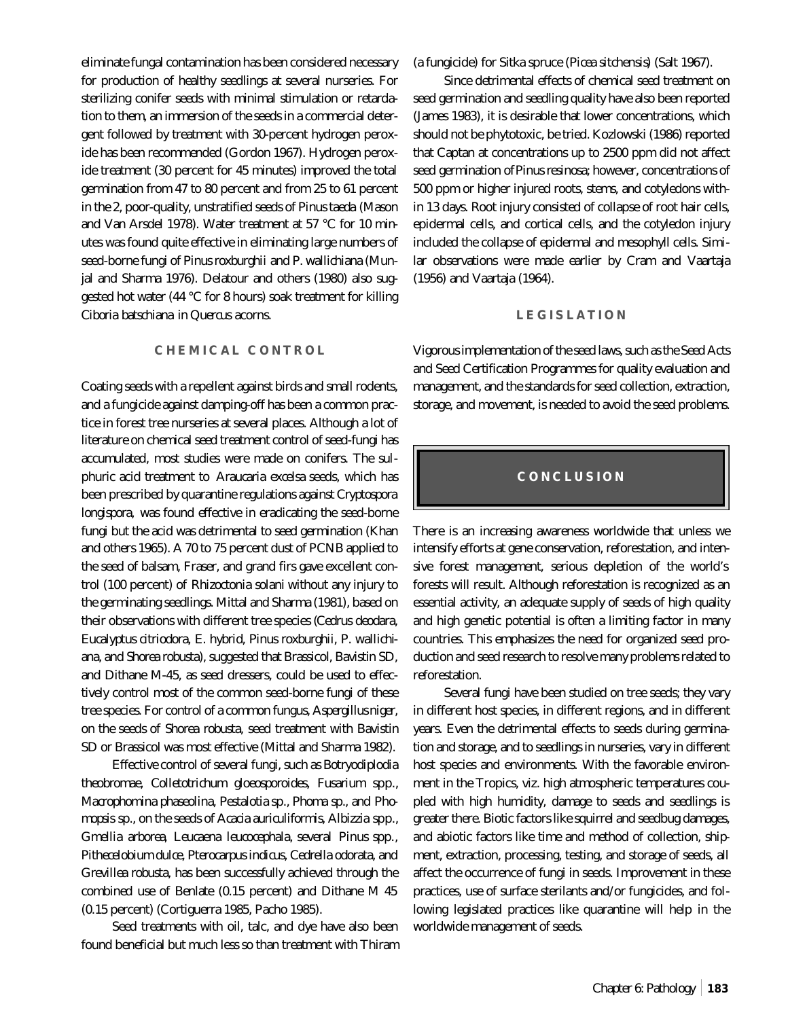eliminate fungal contamination has been considered necessary for production of healthy seedlings at several nurseries. For sterilizing conifer seeds with minimal stimulation or retardation to them, an immersion of the seeds in a commercial detergent followed by treatment with 30-percent hydrogen peroxide has been recommended (Gordon 1967). Hydrogen peroxide treatment (30 percent for 45 minutes) improved the total germination from 47 to 80 percent and from 25 to 61 percent in the 2, poor-quality, unstratified seeds of *Pinus taeda* (Mason and Van Arsdel 1978). Water treatment at 57 °C for 10 minutes was found quite effective in eliminating large numbers of seed-borne fungi of *Pinus roxburghii* and *P. wallichiana* (Munjal and Sharma 1976). Delatour and others (1980) also suggested hot water (44 °C for 8 hours) soak treatment for killing *Ciboria batschiana* in *Quercus* acorns.

### **CHEMICAL CONTROL**

Coating seeds with a repellent against birds and small rodents, and a fungicide against damping-off has been a common practice in forest tree nurseries at several places. Although a lot of literature on chemical seed treatment control of seed-fungi has accumulated, most studies were made on conifers. The sulphuric acid treatment to *Araucaria excelsa* seeds, which has been prescribed by quarantine regulations against *Cryptospora longispora,* was found effective in eradicating the seed-borne fungi but the acid was detrimental to seed germination (Khan and others 1965). A 70 to 75 percent dust of PCNB applied to the seed of balsam, Fraser, and grand firs gave excellent control (100 percent) of *Rhizoctonia solani* without any injury to the germinating seedlings. Mittal and Sharma (1981), based on their observations with different tree species (*Cedrus deodara, Eucalyptus citriodora, E. hybrid, Pinus roxburghii, P. wallichiana,* and *Shorea robusta*), suggested that Brassicol, Bavistin SD, and Dithane M-45, as seed dressers, could be used to effectively control most of the common seed-borne fungi of these tree species. For control of a common fungus, *Aspergillus niger,* on the seeds of *Shorea robusta*, seed treatment with Bavistin SD or Brassicol was most effective (Mittal and Sharma 1982).

Effective control of several fungi, such as *Botryodiplodia theobromae, Colletotrichum gloeosporoides, Fusarium* spp., *Macrophomina phaseolina, Pestalotia* sp., *Phoma* sp., and *Phomopsis* sp., on the seeds of *Acacia auriculiformis, Albizzia* spp., *Gmellia arborea*, *Leucaena leucocephala*, several *Pinus* spp*., Pithecelobium dulce, Pterocarpus indicus, Cedrella odorata,* and *Grevillea robusta,* has been successfully achieved through the combined use of Benlate (0.15 percent) and Dithane M 45 (0.15 percent) (Cortiguerra 1985, Pacho 1985).

Seed treatments with oil, talc, and dye have also been found beneficial but much less so than treatment with Thiram (a fungicide) for Sitka spruce (*Picea sitchensis*) (Salt 1967).

Since detrimental effects of chemical seed treatment on seed germination and seedling quality have also been reported (James 1983), it is desirable that lower concentrations, which should not be phytotoxic, be tried. Kozlowski (1986) reported that Captan at concentrations up to 2500 ppm did not affect seed germination of *Pinus resinosa;* however, concentrations of 500 ppm or higher injured roots, stems, and cotyledons within 13 days. Root injury consisted of collapse of root hair cells, epidermal cells, and cortical cells, and the cotyledon injury included the collapse of epidermal and mesophyll cells. Similar observations were made earlier by Cram and Vaartaja (1956) and Vaartaja (1964).

#### **LEGISLATION**

Vigorous implementation of the seed laws, such as the Seed Acts and Seed Certification Programmes for quality evaluation and management, and the standards for seed collection, extraction, storage, and movement, is needed to avoid the seed problems.

## **CONCLUSION**

There is an increasing awareness worldwide that unless we intensify efforts at gene conservation, reforestation, and intensive forest management, serious depletion of the world's forests will result. Although reforestation is recognized as an essential activity, an adequate supply of seeds of high quality and high genetic potential is often a limiting factor in many countries. This emphasizes the need for organized seed production and seed research to resolve many problems related to reforestation.

Several fungi have been studied on tree seeds; they vary in different host species, in different regions, and in different years. Even the detrimental effects to seeds during germination and storage, and to seedlings in nurseries, vary in different host species and environments. With the favorable environment in the Tropics, viz. high atmospheric temperatures coupled with high humidity, damage to seeds and seedlings is greater there. Biotic factors like squirrel and seedbug damages, and abiotic factors like time and method of collection, shipment, extraction, processing, testing, and storage of seeds, all affect the occurrence of fungi in seeds. Improvement in these practices, use of surface sterilants and/or fungicides, and following legislated practices like quarantine will help in the worldwide management of seeds.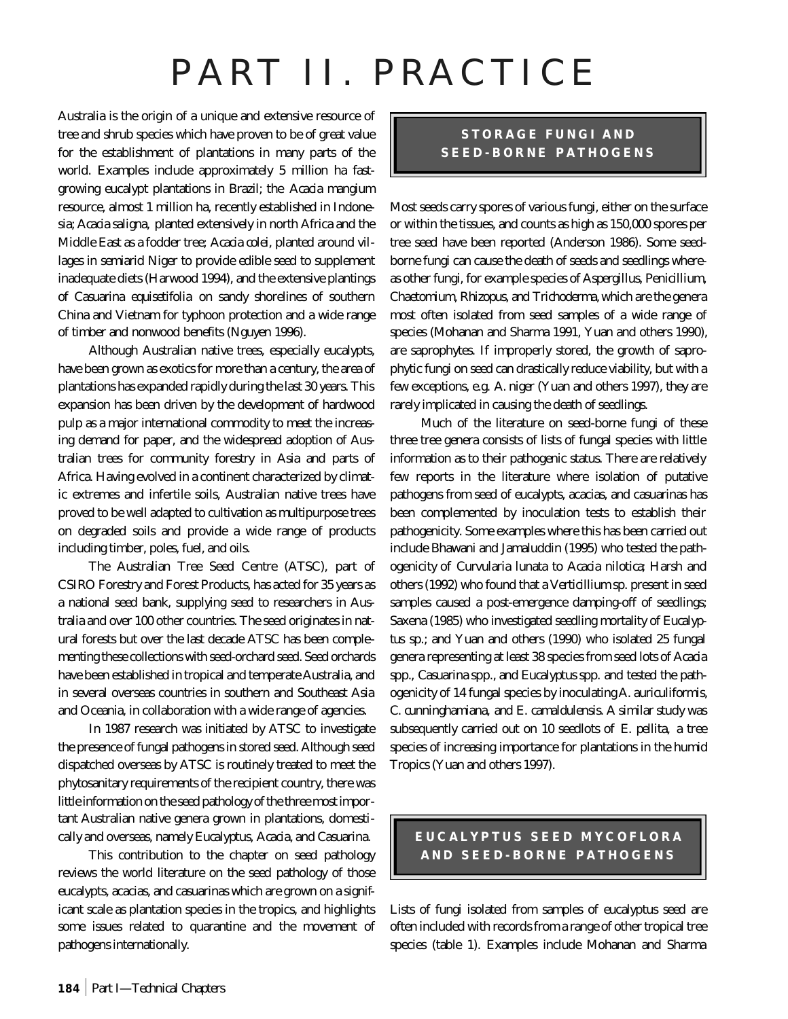# PART II. PRACTICE

Australia is the origin of a unique and extensive resource of tree and shrub species which have proven to be of great value for the establishment of plantations in many parts of the world. Examples include approximately 5 million ha fastgrowing eucalypt plantations in Brazil; the *Acacia mangium* resource, almost 1 million ha, recently established in Indonesia; *Acacia saligna,* planted extensively in north Africa and the Middle East as a fodder tree; *Acacia colei,* planted around villages in semiarid Niger to provide edible seed to supplement inadequate diets (Harwood 1994), and the extensive plantings of *Casuarina equisetifolia* on sandy shorelines of southern China and Vietnam for typhoon protection and a wide range of timber and nonwood benefits (Nguyen 1996).

Although Australian native trees, especially eucalypts, have been grown as exotics for more than a century, the area of plantations has expanded rapidly during the last 30 years. This expansion has been driven by the development of hardwood pulp as a major international commodity to meet the increasing demand for paper, and the widespread adoption of Australian trees for community forestry in Asia and parts of Africa. Having evolved in a continent characterized by climatic extremes and infertile soils, Australian native trees have proved to be well adapted to cultivation as multipurpose trees on degraded soils and provide a wide range of products including timber, poles, fuel, and oils.

The Australian Tree Seed Centre (ATSC), part of CSIRO Forestry and Forest Products, has acted for 35 years as a national seed bank, supplying seed to researchers in Australia and over 100 other countries. The seed originates in natural forests but over the last decade ATSC has been complementing these collections with seed-orchard seed. Seed orchards have been established in tropical and temperate Australia, and in several overseas countries in southern and Southeast Asia and Oceania, in collaboration with a wide range of agencies.

In 1987 research was initiated by ATSC to investigate the presence of fungal pathogens in stored seed. Although seed dispatched overseas by ATSC is routinely treated to meet the phytosanitary requirements of the recipient country, there was little information on the seed pathology of the three most important Australian native genera grown in plantations, domestically and overseas, namely *Eucalyptus, Acacia,* and *Casuarina.*

This contribution to the chapter on seed pathology reviews the world literature on the seed pathology of those eucalypts, acacias, and casuarinas which are grown on a significant scale as plantation species in the tropics, and highlights some issues related to quarantine and the movement of pathogens internationally.

# **STORAGE FUNGI AND SEED-BORNE PATHOGENS**

Most seeds carry spores of various fungi, either on the surface or within the tissues, and counts as high as 150,000 spores per tree seed have been reported (Anderson 1986). Some seedborne fungi can cause the death of seeds and seedlings whereas other fungi, for example species of *Aspergillus, Penicillium, Chaetomium, Rhizopus,* and *Trichoderma,* which are the genera most often isolated from seed samples of a wide range of species (Mohanan and Sharma 1991, Yuan and others 1990), are saprophytes. If improperly stored, the growth of saprophytic fungi on seed can drastically reduce viability, but with a few exceptions, e.g. *A. niger* (Yuan and others 1997), they are rarely implicated in causing the death of seedlings.

Much of the literature on seed-borne fungi of these three tree genera consists of lists of fungal species with little information as to their pathogenic status. There are relatively few reports in the literature where isolation of putative pathogens from seed of eucalypts, acacias, and casuarinas has been complemented by inoculation tests to establish their pathogenicity. Some examples where this has been carried out include Bhawani and Jamaluddin (1995) who tested the pathogenicity of *Curvularia lunata* to *Acacia nilotica*; Harsh and others (1992) who found that a *Verticillium* sp. present in seed samples caused a post-emergence damping-off of seedlings; Saxena (1985) who investigated seedling mortality of *Eucalyptus* sp.; and Yuan and others (1990) who isolated 25 fungal genera representing at least 38 species from seed lots of *Acacia* spp., *Casuarina* spp., and *Eucalyptus* spp. and tested the pathogenicity of 14 fungal species by inoculating *A. auriculiformis, C. cunninghamiana,* and *E. camaldulensis*. A similar study was subsequently carried out on 10 seedlots of *E. pellita,* a tree species of increasing importance for plantations in the humid Tropics (Yuan and others 1997).

# **EUCALYPTUS SEED MYCOFLORA AND SEED-BORNE PATHOGENS**

Lists of fungi isolated from samples of eucalyptus seed are often included with records from a range of other tropical tree species (table 1). Examples include Mohanan and Sharma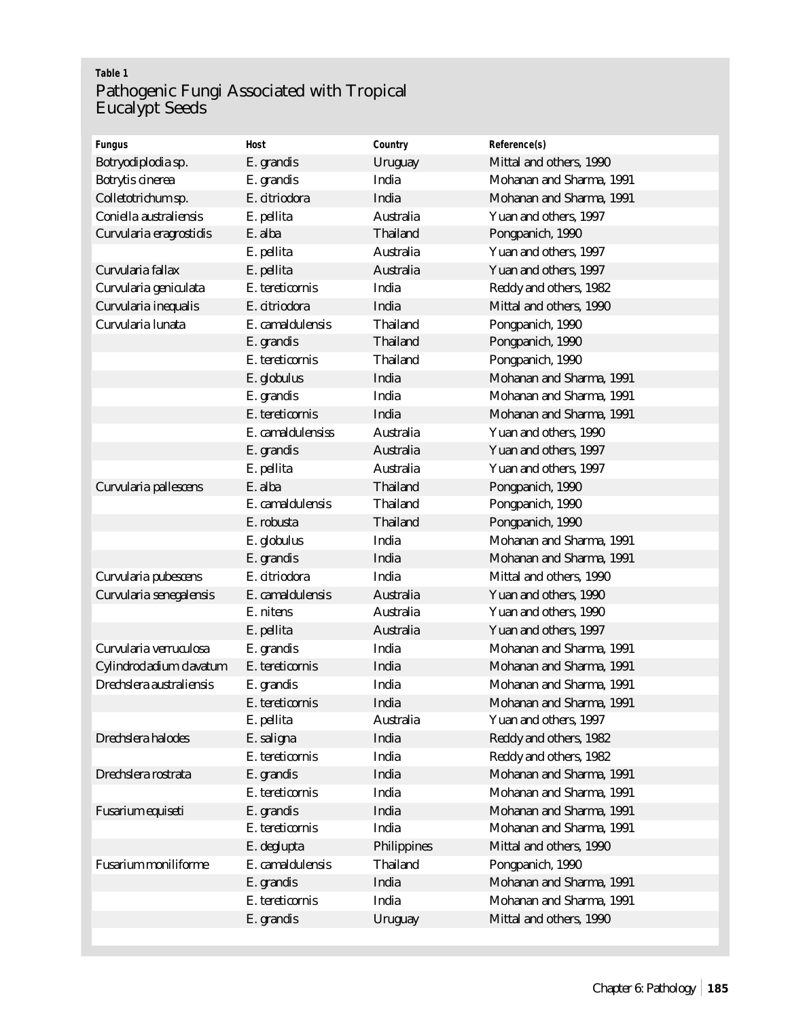# **Table 1** Pathogenic Fungi Associated with Tropical Eucalypt Seeds

| <b>Fungus</b>               | <b>Host</b>       | Country            | Reference(s)             |
|-----------------------------|-------------------|--------------------|--------------------------|
| Botryodiplodia sp.          | E. grandis        | <b>Uruguay</b>     | Mittal and others, 1990  |
| <b>Botrytis cinerea</b>     | E. grandis        | India              | Mohanan and Sharma, 1991 |
| Colletotrichum sp.          | E. citriodora     | India              | Mohanan and Sharma, 1991 |
| Coniella australiensis      | E. pellita        | <b>Australia</b>   | Yuan and others, 1997    |
| Curvularia eragrostidis     | E. alba           | <b>Thailand</b>    | Pongpanich, 1990         |
|                             | E. pellita        | <b>Australia</b>   | Yuan and others, 1997    |
| Curvularia fallax           | E. pellita        | <b>Australia</b>   | Yuan and others, 1997    |
| Curvularia geniculata       | E. tereticornis   | India              | Reddy and others, 1982   |
| Curvularia inequalis        | E. citriodora     | India              | Mittal and others, 1990  |
| Curvularia lunata           | E. camaldulensis  | <b>Thailand</b>    | Pongpanich, 1990         |
|                             | E. grandis        | <b>Thailand</b>    | Pongpanich, 1990         |
|                             | E. tereticornis   | <b>Thailand</b>    | Pongpanich, 1990         |
|                             | E. globulus       | India              | Mohanan and Sharma, 1991 |
|                             | E. grandis        | India              | Mohanan and Sharma, 1991 |
|                             | E. tereticornis   | India              | Mohanan and Sharma, 1991 |
|                             | E. camaldulensiss | <b>Australia</b>   | Yuan and others, 1990    |
|                             | E. grandis        | <b>Australia</b>   | Yuan and others, 1997    |
|                             | E. pellita        | <b>Australia</b>   | Yuan and others, 1997    |
| Curvularia pallescens       | E. alba           | <b>Thailand</b>    | Pongpanich, 1990         |
|                             | E. camaldulensis  | <b>Thailand</b>    | Pongpanich, 1990         |
|                             | E. robusta        | <b>Thailand</b>    | Pongpanich, 1990         |
|                             | E. globulus       | India              | Mohanan and Sharma, 1991 |
|                             | E. grandis        | India              | Mohanan and Sharma, 1991 |
| Curvularia pubescens        | E. citriodora     | India              | Mittal and others, 1990  |
| Curvularia senegalensis     | E. camaldulensis  | <b>Australia</b>   | Yuan and others, 1990    |
|                             | E. nitens         | Australia          | Yuan and others, 1990    |
|                             | E. pellita        | <b>Australia</b>   | Yuan and others, 1997    |
| Curvularia verruculosa      | E. grandis        | India              | Mohanan and Sharma, 1991 |
| Cylindrocladium clavatum    | E. tereticornis   | India              | Mohanan and Sharma, 1991 |
| Drechslera australiensis    | E. grandis        | India              | Mohanan and Sharma, 1991 |
|                             | E. tereticornis   | India              | Mohanan and Sharma, 1991 |
|                             | E. pellita        | Australia          | Yuan and others, 1997    |
| Drechslera halodes          | E. saligna        | India              | Reddy and others, 1982   |
|                             | E. tereticornis   | India              | Reddy and others, 1982   |
| Drechslera rostrata         | E. grandis        | India              | Mohanan and Sharma, 1991 |
|                             | E. tereticornis   | <b>India</b>       | Mohanan and Sharma, 1991 |
| Fusarium equiseti           | E. grandis        | India              | Mohanan and Sharma, 1991 |
|                             | E. tereticornis   | India              | Mohanan and Sharma, 1991 |
|                             | E. deglupta       | <b>Philippines</b> | Mittal and others, 1990  |
| <b>Fusarium moniliforme</b> | E. camaldulensis  | <b>Thailand</b>    | Pongpanich, 1990         |
|                             | E. grandis        | India              | Mohanan and Sharma, 1991 |
|                             | E. tereticornis   | India              | Mohanan and Sharma, 1991 |
|                             | E. grandis        | <b>Uruguay</b>     | Mittal and others, 1990  |
|                             |                   |                    |                          |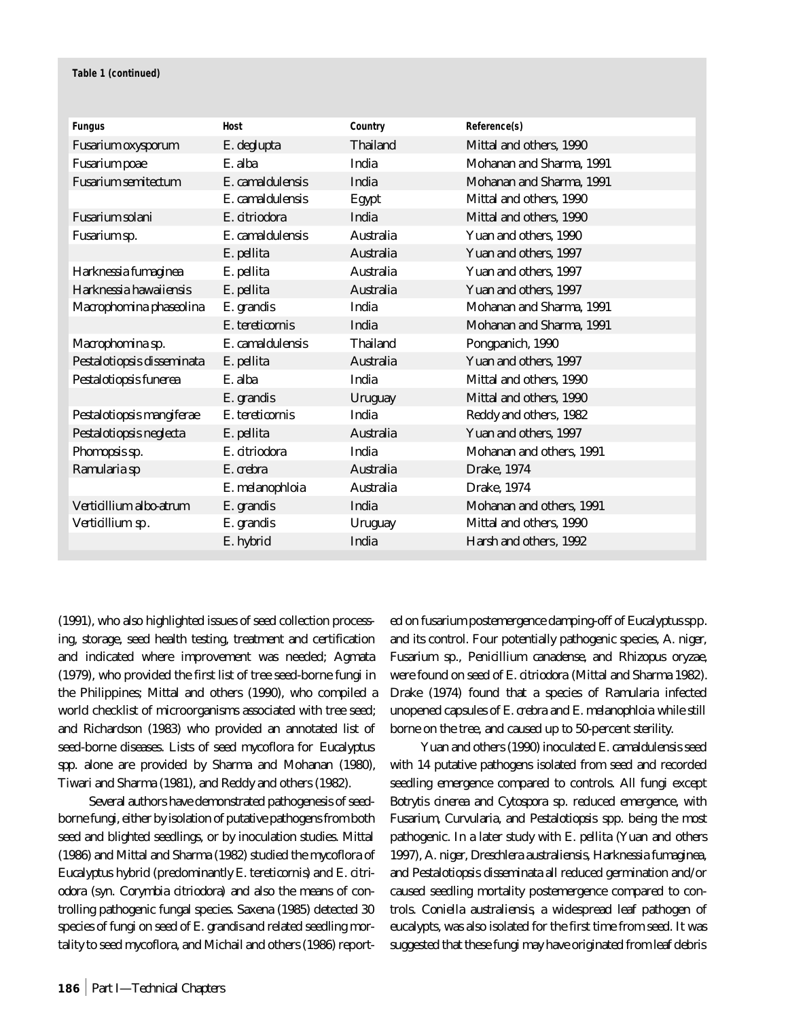#### **Table 1 (continued)**

| <b>Fungus</b>              | <b>Host</b>      | Country          | Reference(s)             |
|----------------------------|------------------|------------------|--------------------------|
| <b>Fusarium oxysporum</b>  | E. deglupta      | <b>Thailand</b>  | Mittal and others, 1990  |
| <b>Fusarium</b> poae       | E. alba          | India            | Mohanan and Sharma, 1991 |
| <b>Fusarium semitectum</b> | E. camaldulensis | India            | Mohanan and Sharma, 1991 |
|                            | E. camaldulensis | Egypt            | Mittal and others, 1990  |
| <b>Fusarium solani</b>     | E. citriodora    | India            | Mittal and others, 1990  |
| Fusarium sp.               | E. camaldulensis | Australia        | Yuan and others, 1990    |
|                            | E. pellita       | <b>Australia</b> | Yuan and others, 1997    |
| Harknessia fumaginea       | E. pellita       | <b>Australia</b> | Yuan and others, 1997    |
| Harknessia hawaiiensis     | E. pellita       | Australia        | Yuan and others, 1997    |
| Macrophomina phaseolina    | E. grandis       | India            | Mohanan and Sharma, 1991 |
|                            | E. tereticornis  | India            | Mohanan and Sharma, 1991 |
| Macrophomina sp.           | E. camaldulensis | <b>Thailand</b>  | Pongpanich, 1990         |
| Pestalotiopsis disseminata | E. pellita       | Australia        | Yuan and others, 1997    |
| Pestalotiopsis funerea     | E. alba          | India            | Mittal and others, 1990  |
|                            | E. grandis       | <b>Uruguay</b>   | Mittal and others, 1990  |
| Pestalotiopsis mangiferae  | E. tereticornis  | India            | Reddy and others, 1982   |
| Pestalotiopsis neglecta    | E. pellita       | Australia        | Yuan and others, 1997    |
| Phomopsis sp.              | E. citriodora    | India            | Mohanan and others, 1991 |
| Ramularia sp               | E. crebra        | Australia        | <b>Drake</b> , 1974      |
|                            | E. melanophloia  | Australia        | Drake, 1974              |
| Verticillium albo-atrum    | E. grandis       | India            | Mohanan and others, 1991 |
| Verticillium sp.           | E. grandis       | <b>Uruguay</b>   | Mittal and others, 1990  |
|                            | E. hybrid        | India            | Harsh and others, 1992   |

(1991), who also highlighted issues of seed collection processing, storage, seed health testing, treatment and certification and indicated where improvement was needed; Agmata (1979), who provided the first list of tree seed-borne fungi in the Philippines; Mittal and others (1990), who compiled a world checklist of microorganisms associated with tree seed; and Richardson (1983) who provided an annotated list of seed-borne diseases. Lists of seed mycoflora for *Eucalyptus spp*. alone are provided by Sharma and Mohanan (1980), Tiwari and Sharma (1981), and Reddy and others (1982).

Several authors have demonstrated pathogenesis of seedborne fungi, either by isolation of putative pathogens from both seed and blighted seedlings, or by inoculation studies. Mittal (1986) and Mittal and Sharma (1982) studied the mycoflora of *Eucalyptus* hybrid (predominantly *E. tereticornis*) and *E. citriodora* (syn. *Corymbia citriodora*) and also the means of controlling pathogenic fungal species. Saxena (1985) detected 30 species of fungi on seed of *E. grandis* and related seedling mortality to seed mycoflora, and Michail and others (1986) reported on fusarium postemergence damping-off of *Eucalyptus*spp. and its control. Four potentially pathogenic species, *A. niger, Fusarium* sp., *Penicillium canadense,* and *Rhizopus oryzae,* were found on seed of *E. citriodora* (Mittal and Sharma 1982). Drake (1974) found that a species of *Ramularia* infected unopened capsules of *E. crebra* and *E. melanophloia* while still borne on the tree, and caused up to 50-percent sterility.

Yuan and others (1990) inoculated *E. camaldulensis* seed with 14 putative pathogens isolated from seed and recorded seedling emergence compared to controls. All fungi except *Botrytis cinerea and Cytospora* sp. reduced emergence, with *Fusarium, Curvularia,* and *Pestalotiopsis* spp. being the most pathogenic. In a later study with *E. pellita* (Yuan and others 1997), *A. niger, Dreschlera australiensis, Harknessia fumaginea,* and *Pestalotiopsis disseminata* all reduced germination and/or caused seedling mortality postemergence compared to controls. *Coniella australiensis*, a widespread leaf pathogen of eucalypts, was also isolated for the first time from seed. It was suggested that these fungi may have originated from leaf debris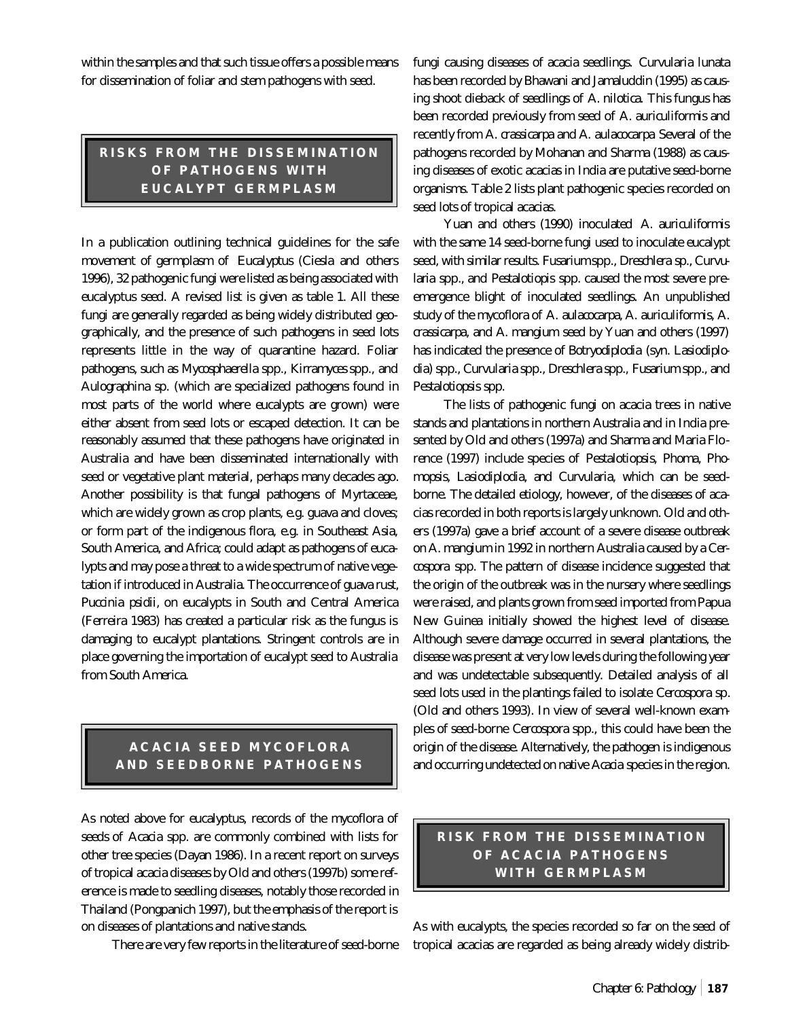within the samples and that such tissue offers a possible means for dissemination of foliar and stem pathogens with seed.

# **RISKS FROM THE DISSEMINATION OF PATHOGENS WITH EUCALYPT GERMPLASM**

In a publication outlining technical guidelines for the safe movement of germplasm of *Eucalyptus* (Ciesla and others 1996), 32 pathogenic fungi were listed as being associated with eucalyptus seed. A revised list is given as table 1. All these fungi are generally regarded as being widely distributed geographically, and the presence of such pathogens in seed lots represents little in the way of quarantine hazard. Foliar pathogens, such as *Mycosphaerella* spp., *Kirramyces* spp., and *Aulographina* sp. (which are specialized pathogens found in most parts of the world where eucalypts are grown) were either absent from seed lots or escaped detection. It can be reasonably assumed that these pathogens have originated in Australia and have been disseminated internationally with seed or vegetative plant material, perhaps many decades ago. Another possibility is that fungal pathogens of Myrtaceae, which are widely grown as crop plants, e.g. guava and cloves; or form part of the indigenous flora, e.g. in Southeast Asia, South America, and Africa; could adapt as pathogens of eucalypts and may pose a threat to a wide spectrum of native vegetation if introduced in Australia. The occurrence of guava rust, *Puccinia psidii,* on eucalypts in South and Central America (Ferreira 1983) has created a particular risk as the fungus is damaging to eucalypt plantations. Stringent controls are in place governing the importation of eucalypt seed to Australia from South America.

## **ACACIA SEED MYCOFLORA AND SEEDBORNE PATHOGENS**

As noted above for eucalyptus, records of the mycoflora of seeds of *Acacia* spp. are commonly combined with lists for other tree species (Dayan 1986). In a recent report on surveys of tropical acacia diseases by Old and others (1997b) some reference is made to seedling diseases, notably those recorded in Thailand (Pongpanich 1997), but the emphasis of the report is on diseases of plantations and native stands.

There are very few reports in the literature of seed-borne

fungi causing diseases of acacia seedlings. *Curvularia lunata* has been recorded by Bhawani and Jamaluddin (1995) as causing shoot dieback of seedlings of *A. nilotica.* This fungus has been recorded previously from seed of *A. auriculiformis* and recently from *A. crassicarpa* and *A. aulacocarpa*. Several of the pathogens recorded by Mohanan and Sharma (1988) as causing diseases of exotic acacias in India are putative seed-borne organisms. Table 2 lists plant pathogenic species recorded on seed lots of tropical acacias.

Yuan and others (1990) inoculated *A. auriculiformis* with the same 14 seed-borne fungi used to inoculate eucalypt seed, with similar results. *Fusarium*spp., *Dreschlera* sp., *Curvularia* spp., and *Pestalotiopis* spp. caused the most severe preemergence blight of inoculated seedlings. An unpublished study of the mycoflora of *A. aulacocarpa, A. auriculiformis, A. crassicarpa,* and *A. mangium* seed by Yuan and others (1997) has indicated the presence of *Botryodiplodia* (syn*. Lasiodiplodia*) spp., *Curvularia* spp., *Dreschlera* spp., *Fusarium* spp., and *Pestalotiopsis* spp.

The lists of pathogenic fungi on acacia trees in native stands and plantations in northern Australia and in India presented by Old and others (1997a) and Sharma and Maria Florence (1997) include species of *Pestalotiopsis, Phoma, Phomopsis, Lasiodiplodia,* and *Curvularia,* which can be seedborne. The detailed etiology, however, of the diseases of acacias recorded in both reports is largely unknown. Old and others (1997a) gave a brief account of a severe disease outbreak on *A. mangium* in 1992 in northern Australia caused by a *Cercospora* spp. The pattern of disease incidence suggested that the origin of the outbreak was in the nursery where seedlings were raised, and plants grown from seed imported from Papua New Guinea initially showed the highest level of disease. Although severe damage occurred in several plantations, the disease was present at very low levels during the following year and was undetectable subsequently. Detailed analysis of all seed lots used in the plantings failed to isolate *Cercospora* sp. (Old and others 1993). In view of several well-known examples of seed-borne *Cercospora* spp., this could have been the origin of the disease. Alternatively, the pathogen is indigenous and occurring undetected on native *Acacia* species in the region.

## **RISK FROM THE DISSEMINATION OF ACACIA PATHOGENS WITH GERMPLASM**

As with eucalypts, the species recorded so far on the seed of tropical acacias are regarded as being already widely distrib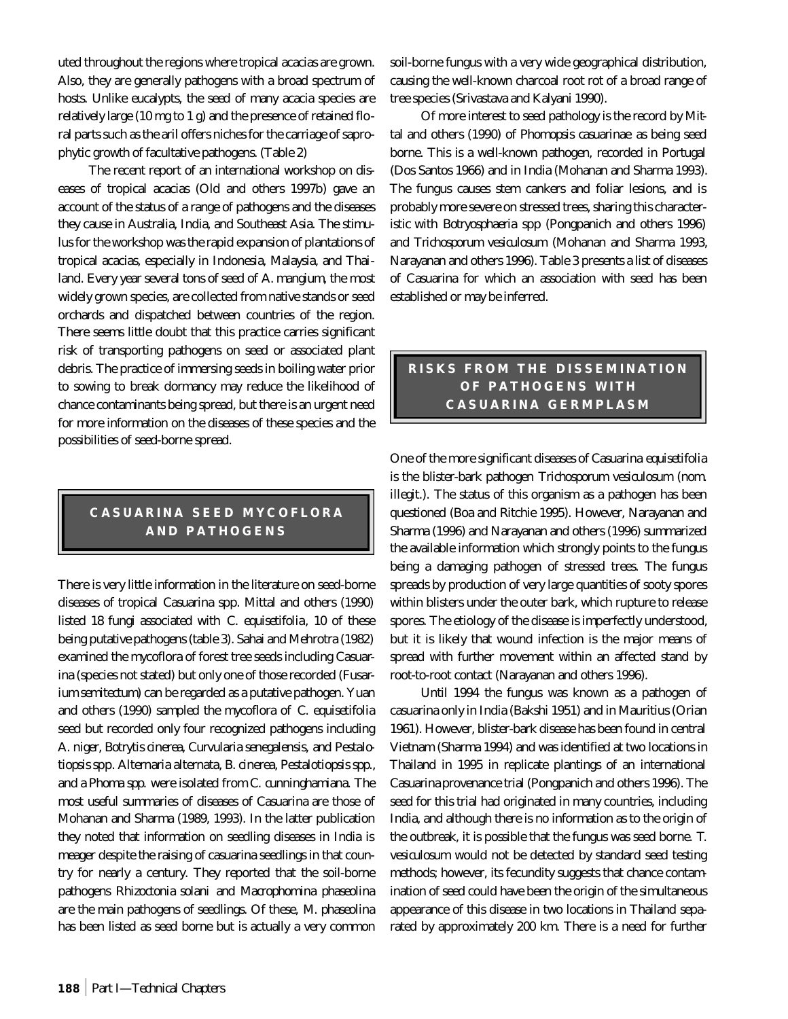uted throughout the regions where tropical acacias are grown. Also, they are generally pathogens with a broad spectrum of hosts. Unlike eucalypts, the seed of many acacia species are relatively large (10 mg to 1 g) and the presence of retained floral parts such as the aril offers niches for the carriage of saprophytic growth of facultative pathogens. (Table 2)

The recent report of an international workshop on diseases of tropical acacias (Old and others 1997b) gave an account of the status of a range of pathogens and the diseases they cause in Australia, India, and Southeast Asia. The stimulus for the workshop was the rapid expansion of plantations of tropical acacias, especially in Indonesia, Malaysia, and Thailand. Every year several tons of seed of *A. mangium*, the most widely grown species, are collected from native stands or seed orchards and dispatched between countries of the region. There seems little doubt that this practice carries significant risk of transporting pathogens on seed or associated plant debris. The practice of immersing seeds in boiling water prior to sowing to break dormancy may reduce the likelihood of chance contaminants being spread, but there is an urgent need for more information on the diseases of these species and the possibilities of seed-borne spread.

# **CASUARINA SEED MYCOFLORA AND PATHOGENS**

There is very little information in the literature on seed-borne diseases of tropical *Casuarina* spp. Mittal and others (1990) listed 18 fungi associated with *C. equisetifolia*, 10 of these being putative pathogens (table 3). Sahai and Mehrotra (1982) examined the mycoflora of forest tree seeds including *Casuarina* (species not stated) but only one of those recorded (*Fusarium semitectum*) can be regarded as a putative pathogen. Yuan and others (1990) sampled the mycoflora of *C. equisetifolia* seed but recorded only four recognized pathogens including *A. niger, Botrytis cinerea, Curvularia senegalensis,* and *Pestalotiopsis* spp. *Alternaria alternata, B. cinerea, Pestalotiopsis spp.,* and a *Phoma spp.* were isolated from *C. cunninghamiana*. The most useful summaries of diseases of *Casuarina* are those of Mohanan and Sharma (1989, 1993). In the latter publication they noted that information on seedling diseases in India is meager despite the raising of casuarina seedlings in that country for nearly a century. They reported that the soil-borne pathogens *Rhizoctonia solani* and *Macrophomina phaseolina* are the main pathogens of seedlings. Of these, *M. phaseolina* has been listed as seed borne but is actually a very common soil-borne fungus with a very wide geographical distribution, causing the well-known charcoal root rot of a broad range of tree species (Srivastava and Kalyani 1990).

Of more interest to seed pathology is the record by Mittal and others (1990) of *Phomopsis casuarinae* as being seed borne. This is a well-known pathogen, recorded in Portugal (Dos Santos 1966) and in India (Mohanan and Sharma 1993). The fungus causes stem cankers and foliar lesions, and is probably more severe on stressed trees, sharing this characteristic with *Botryosphaeria* spp (Pongpanich and others 1996) and *Trichosporum vesiculosum* (Mohanan and Sharma 1993, Narayanan and others 1996). Table 3 presents a list of diseases of Casuarina for which an association with seed has been established or may be inferred.

## **RISKS FROM THE DISSEMINATION OF PATHOGENS WITH CASUARINA GERMPLASM**

One of the more significant diseases of *Casuarina equisetifolia* is the blister-bark pathogen *Trichosporum vesiculosum (nom. illegit.).* The status of this organism as a pathogen has been questioned (Boa and Ritchie 1995). However, Narayanan and Sharma (1996) and Narayanan and others (1996) summarized the available information which strongly points to the fungus being a damaging pathogen of stressed trees. The fungus spreads by production of very large quantities of sooty spores within blisters under the outer bark, which rupture to release spores. The etiology of the disease is imperfectly understood, but it is likely that wound infection is the major means of spread with further movement within an affected stand by root-to-root contact (Narayanan and others 1996).

Until 1994 the fungus was known as a pathogen of casuarina only in India (Bakshi 1951) and in Mauritius (Orian 1961). However, blister-bark disease has been found in central Vietnam (Sharma 1994) and was identified at two locations in Thailand in 1995 in replicate plantings of an international *Casuarina* provenance trial (Pongpanich and others 1996). The seed for this trial had originated in many countries, including India, and although there is no information as to the origin of the outbreak, it is possible that the fungus was seed borne. *T. vesiculosum* would not be detected by standard seed testing methods; however, its fecundity suggests that chance contamination of seed could have been the origin of the simultaneous appearance of this disease in two locations in Thailand separated by approximately 200 km. There is a need for further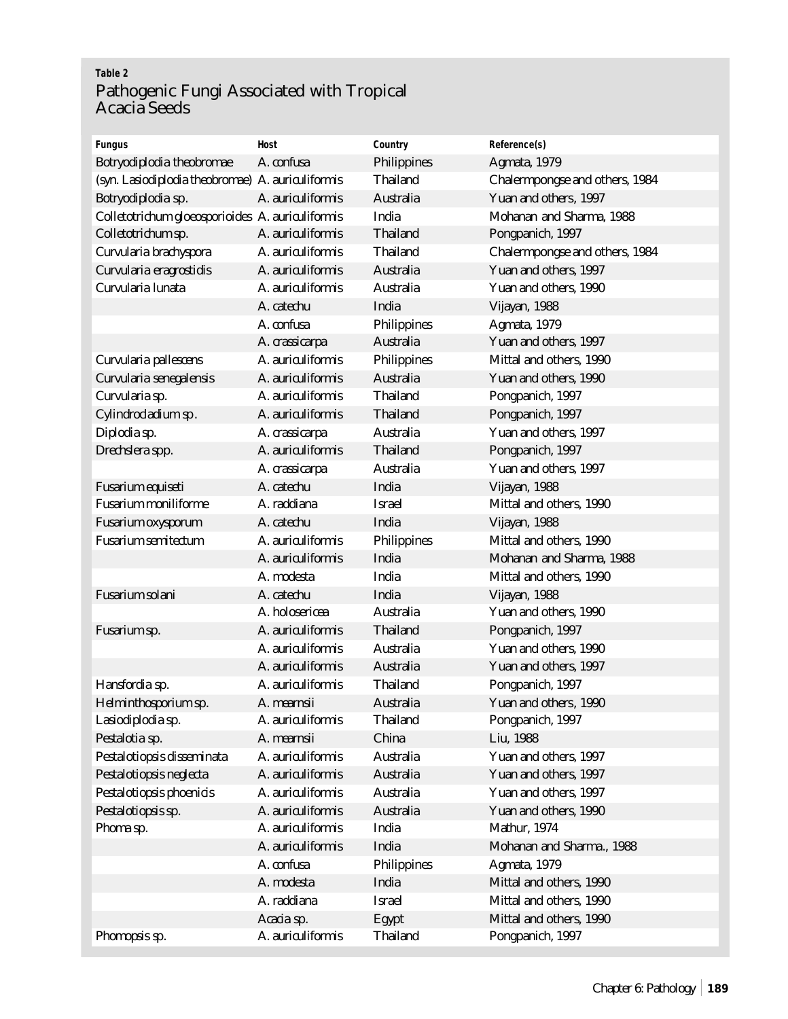# **Table 2** Pathogenic Fungi Associated with Tropical Acacia Seeds

| <b>Fungus</b>                                     | <b>Host</b>       | Country            | Reference(s)                   |
|---------------------------------------------------|-------------------|--------------------|--------------------------------|
| Botryodiplodia theobromae                         | A. confusa        | <b>Philippines</b> | Agmata, 1979                   |
| (syn. Lasiodiplodia theobromae) A. auriculiformis |                   | <b>Thailand</b>    | Chalermpongse and others, 1984 |
| Botryodiplodia sp.                                | A. auriculiformis | <b>Australia</b>   | Yuan and others, 1997          |
| Colletotrichum gloeosporioides A. auriculiformis  |                   | India              | Mohanan and Sharma, 1988       |
| Colletotrichum sp.                                | A. auriculiformis | <b>Thailand</b>    | Pongpanich, 1997               |
| Curvularia brachyspora                            | A. auriculiformis | <b>Thailand</b>    | Chalermpongse and others, 1984 |
| Curvularia eragrostidis                           | A. auriculiformis | <b>Australia</b>   | Yuan and others, 1997          |
| Curvularia lunata                                 | A. auriculiformis | <b>Australia</b>   | Yuan and others, 1990          |
|                                                   | A. catechu        | India              | Vijayan, 1988                  |
|                                                   | A. confusa        | <b>Philippines</b> | Agmata, 1979                   |
|                                                   | A. crassicarpa    | <b>Australia</b>   | Yuan and others, 1997          |
| Curvularia pallescens                             | A. auriculiformis | <b>Philippines</b> | Mittal and others, 1990        |
| Curvularia senegalensis                           | A. auriculiformis | Australia          | Yuan and others, 1990          |
| Curvularia sp.                                    | A. auriculiformis | <b>Thailand</b>    | Pongpanich, 1997               |
| Cylindrocladium sp.                               | A. auriculiformis | <b>Thailand</b>    | Pongpanich, 1997               |
| Diplodia sp.                                      | A. crassicarpa    | <b>Australia</b>   | Yuan and others, 1997          |
| Drechslera spp.                                   | A. auriculiformis | <b>Thailand</b>    | Pongpanich, 1997               |
|                                                   | A. crassicarpa    | Australia          | Yuan and others, 1997          |
| Fusarium equiseti                                 | A. catechu        | India              | Vijayan, 1988                  |
| <b>Fusarium moniliforme</b>                       | A. raddiana       | <b>Israel</b>      | Mittal and others, 1990        |
| <b>Fusarium oxysporum</b>                         | A. catechu        | India              | Vijayan, 1988                  |
| <b>Fusarium semitectum</b>                        | A. auriculiformis | <b>Philippines</b> | Mittal and others, 1990        |
|                                                   | A. auriculiformis | India              | Mohanan and Sharma, 1988       |
|                                                   | A. modesta        | India              | Mittal and others, 1990        |
| Fusarium solani                                   | A. catechu        | India              | Vijayan, 1988                  |
|                                                   | A. holosericea    | Australia          | Yuan and others, 1990          |
| Fusarium sp.                                      | A. auriculiformis | <b>Thailand</b>    | Pongpanich, 1997               |
|                                                   | A. auriculiformis | <b>Australia</b>   | Yuan and others, 1990          |
|                                                   | A. auriculiformis | Australia          | Yuan and others, 1997          |
| Hansfordia sp.                                    | A. auriculiformis | <b>Thailand</b>    | Pongpanich, 1997               |
| Helminthosporium sp.                              | A. mearnsii       | Australia          | Yuan and others, 1990          |
| Lasiodiplodia sp.                                 | A. auriculiformis | <b>Thailand</b>    | Pongpanich, 1997               |
| Pestalotia sp.                                    | A. mearnsii       | China              | Liu, 1988                      |
| Pestalotiopsis disseminata                        | A. auriculiformis | <b>Australia</b>   | Yuan and others, 1997          |
| Pestalotiopsis neglecta                           | A. auriculiformis | Australia          | Yuan and others, 1997          |
| Pestalotiopsis phoenicis                          | A. auriculiformis | <b>Australia</b>   | Yuan and others, 1997          |
| Pestalotiopsis sp.                                | A. auriculiformis | Australia          | Yuan and others, 1990          |
| Phoma sp.                                         | A. auriculiformis | India              | <b>Mathur, 1974</b>            |
|                                                   | A. auriculiformis | India              | Mohanan and Sharma., 1988      |
|                                                   | A. confusa        | <b>Philippines</b> | Agmata, 1979                   |
|                                                   | A. modesta        | India              | Mittal and others, 1990        |
|                                                   | A. raddiana       | <b>Israel</b>      | Mittal and others, 1990        |
|                                                   | Acacia sp.        | Egypt              | Mittal and others, 1990        |
| Phomopsis sp.                                     | A. auriculiformis | <b>Thailand</b>    | Pongpanich, 1997               |